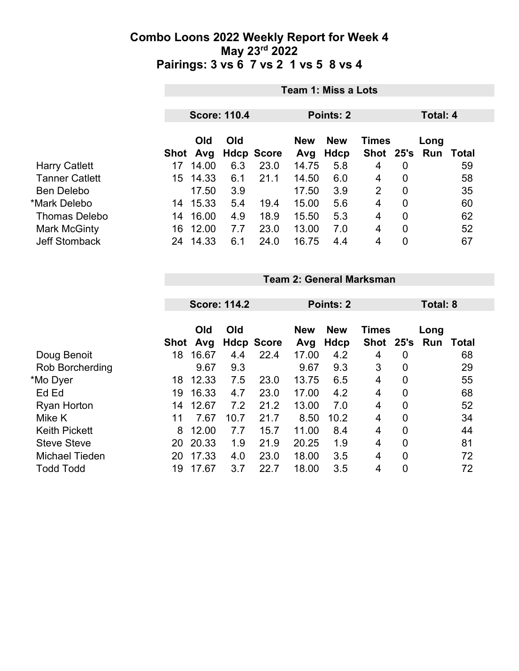|                       |                    | <b>Team 1: Miss a Lots</b>       |      |                   |                           |                             |                |             |       |  |  |  |
|-----------------------|--------------------|----------------------------------|------|-------------------|---------------------------|-----------------------------|----------------|-------------|-------|--|--|--|
|                       |                    | <b>Score: 110.4</b><br>Points: 2 |      |                   |                           |                             |                | Total: 4    |       |  |  |  |
|                       | Old<br>Avg<br>Shot | Old<br><b>Hdcp Score</b>         |      | <b>New</b><br>Avg | <b>New</b><br><b>Hdcp</b> | <b>Times</b><br><b>Shot</b> | 25's           | Long<br>Run | Total |  |  |  |
| <b>Harry Catlett</b>  | 14.00<br>17        | 6.3                              | 23.0 | 14.75             | 5.8                       | 4                           | $\overline{0}$ |             | 59    |  |  |  |
| <b>Tanner Catlett</b> | 14.33<br>15        | 6.1                              | 21.1 | 14.50             | 6.0                       | 4                           | $\overline{0}$ |             | 58    |  |  |  |
| <b>Ben Delebo</b>     | 17.50              | 3.9                              |      | 17.50             | 3.9                       | 2                           | $\overline{0}$ |             | 35    |  |  |  |
| *Mark Delebo          | 15.33<br>14        | 5.4                              | 19.4 | 15.00             | 5.6                       | 4                           | 0              |             | 60    |  |  |  |
| <b>Thomas Delebo</b>  | 16.00<br>14        | 4.9                              | 18.9 | 15.50             | 5.3                       | 4                           | $\mathbf 0$    |             | 62    |  |  |  |
| Mark McGinty          | 12.00<br>16        | 7.7                              | 23.0 | 13.00             | 7.0                       | 4                           | 0              |             | 52    |  |  |  |
| <b>Jeff Stomback</b>  | 14.33<br>24        | 6.1                              | 24.0 | 16.75             | 4.4                       | $\overline{4}$              | $\overline{0}$ |             | 67    |  |  |  |

| Team 2: General Marksman |  |
|--------------------------|--|
|                          |  |

|                       |             | <b>Score: 114.2</b> |      |                   | <b>Points: 2</b>  | Total: 8           |                    |                  |             |       |
|-----------------------|-------------|---------------------|------|-------------------|-------------------|--------------------|--------------------|------------------|-------------|-------|
|                       | <b>Shot</b> | Old<br>Avg          | Old  | <b>Hdcp Score</b> | <b>New</b><br>Avg | <b>New</b><br>Hdcp | Times<br>Shot 25's |                  | Long<br>Run | Total |
| Doug Benoit           | 18          | 16.67               | 4.4  | 22.4              | 17.00             | 4.2                | 4                  | 0                |             | 68    |
| Rob Borcherding       |             | 9.67                | 9.3  |                   | 9.67              | 9.3                | 3                  | $\boldsymbol{0}$ |             | 29    |
| *Mo Dyer              | 18          | 12.33               | 7.5  | 23.0              | 13.75             | 6.5                | 4                  | 0                |             | 55    |
| Ed Ed                 | 19          | 16.33               | 4.7  | 23.0              | 17.00             | 4.2                | 4                  | $\mathbf 0$      |             | 68    |
| <b>Ryan Horton</b>    | 14          | 12.67               | 7.2  | 21.2              | 13.00             | 7.0                | 4                  | 0                |             | 52    |
| Mike K                | 11          | 7.67                | 10.7 | 21.7              | 8.50              | 10.2               | 4                  | $\mathbf 0$      |             | 34    |
| <b>Keith Pickett</b>  | 8           | 12.00               | 7.7  | 15.7              | 11.00             | 8.4                | 4                  | $\mathbf 0$      |             | 44    |
| <b>Steve Steve</b>    | 20          | 20.33               | 1.9  | 21.9              | 20.25             | 1.9                | 4                  | $\overline{0}$   |             | 81    |
| <b>Michael Tieden</b> | 20          | 17.33               | 4.0  | 23.0              | 18.00             | 3.5                | 4                  | $\overline{0}$   |             | 72    |
| <b>Todd Todd</b>      | 19          | 17.67               | 3.7  | 22.7              | 18.00             | 3.5                | 4                  | $\boldsymbol{0}$ |             | 72    |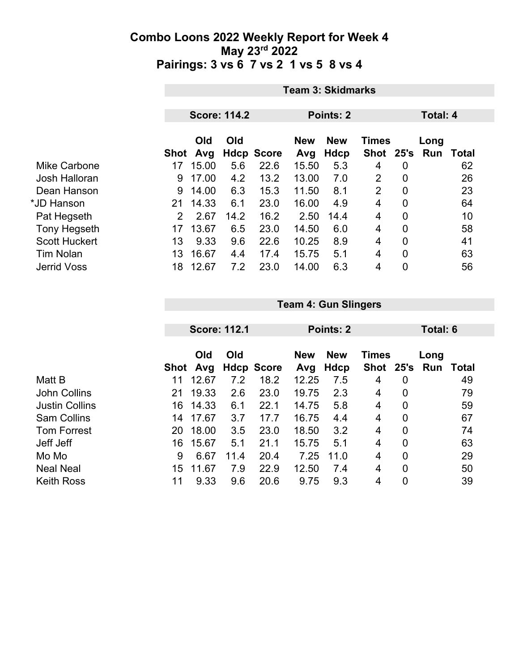|                      | <b>Team 3: Skidmarks</b>                            |       |      |                   |            |            |              |             |          |       |  |
|----------------------|-----------------------------------------------------|-------|------|-------------------|------------|------------|--------------|-------------|----------|-------|--|
|                      | <b>Score: 114.2</b><br><b>Points: 2</b><br>Total: 4 |       |      |                   |            |            |              |             |          |       |  |
|                      |                                                     |       |      |                   |            |            |              |             |          |       |  |
|                      | Old<br>Old                                          |       |      |                   | <b>New</b> | <b>New</b> | <b>Times</b> |             | Long     |       |  |
|                      | Shot                                                | Avg   |      | <b>Hdcp Score</b> | Avg        | Hdcp       | <b>Shot</b>  |             | 25's Run | Total |  |
| Mike Carbone         | 17                                                  | 15.00 | 5.6  | 22.6              | 15.50      | 5.3        | 4            | 0           |          | 62    |  |
| Josh Halloran        | 9                                                   | 17.00 | 4.2  | 13.2              | 13.00      | 7.0        | 2            | 0           |          | 26    |  |
| Dean Hanson          | 9                                                   | 14.00 | 6.3  | 15.3              | 11.50      | 8.1        | 2            | $\mathbf 0$ |          | 23    |  |
| *JD Hanson           | 21                                                  | 14.33 | 6.1  | 23.0              | 16.00      | 4.9        | 4            | $\mathbf 0$ |          | 64    |  |
| Pat Hegseth          | $\overline{2}$                                      | 2.67  | 14.2 | 16.2              | 2.50       | 14.4       | 4            | 0           |          | 10    |  |
| <b>Tony Hegseth</b>  | 17                                                  | 13.67 | 6.5  | 23.0              | 14.50      | 6.0        | 4            | 0           |          | 58    |  |
| <b>Scott Huckert</b> | 13                                                  | 9.33  | 9.6  | 22.6              | 10.25      | 8.9        | 4            | 0           |          | 41    |  |
| <b>Tim Nolan</b>     | 13                                                  | 16.67 | 4.4  | 17.4              | 15.75      | 5.1        | 4            | 0           |          | 63    |  |
| <b>Jerrid Voss</b>   | 18                                                  | 12.67 | 7.2  | 23.0              | 14.00      | 6.3        | 4            | 0           |          | 56    |  |

|                       |      | <b>Score: 112.1</b> |      |                   |            | Points: 2  |              |   | Total: 6 |              |  |
|-----------------------|------|---------------------|------|-------------------|------------|------------|--------------|---|----------|--------------|--|
|                       |      |                     |      |                   |            |            |              |   |          |              |  |
|                       |      | Old                 | Old  |                   | <b>New</b> | <b>New</b> | <b>Times</b> |   | Long     |              |  |
|                       | Shot | Avg                 |      | <b>Hdcp Score</b> | Avg        | Hdcp       | Shot 25's    |   | Run      | <b>Total</b> |  |
| Matt B                | 11   | 12.67               | 7.2  | 18.2              | 12.25      | 7.5        | 4            | 0 |          | 49           |  |
| <b>John Collins</b>   | 21   | 19.33               | 2.6  | 23.0              | 19.75      | 2.3        | 4            | 0 |          | 79           |  |
| <b>Justin Collins</b> | 16   | 14.33               | 6.1  | 22.1              | 14.75      | 5.8        | 4            | 0 |          | 59           |  |
| <b>Sam Collins</b>    | 14   | 17.67               | 3.7  | 17.7              | 16.75      | 4.4        | 4            | 0 |          | 67           |  |
| <b>Tom Forrest</b>    | 20   | 18.00               | 3.5  | 23.0              | 18.50      | 3.2        | 4            | 0 |          | 74           |  |
| Jeff Jeff             | 16   | 15.67               | 5.1  | 21.1              | 15.75      | 5.1        | 4            | 0 |          | 63           |  |
| Mo Mo                 | 9    | 6.67                | 11.4 | 20.4              | 7.25       | 11.0       | 4            | 0 |          | 29           |  |
| <b>Neal Neal</b>      | 15   | 11.67               | 7.9  | 22.9              | 12.50      | 7.4        | 4            | 0 |          | 50           |  |
| <b>Keith Ross</b>     | 11   | 9.33                | 9.6  | 20.6              | 9.75       | 9.3        | 4            | 0 |          | 39           |  |

**Team 4: Gun Slingers**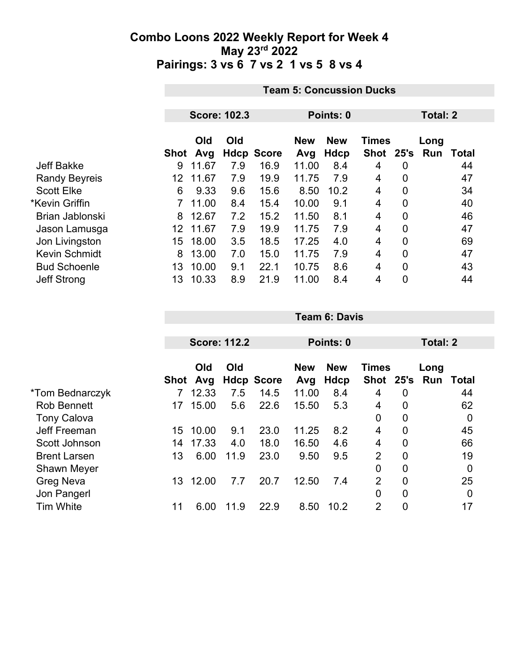|                      |      | <b>Team 5: Concussion Ducks</b> |     |                   |                   |                    |                           |   |                 |       |  |
|----------------------|------|---------------------------------|-----|-------------------|-------------------|--------------------|---------------------------|---|-----------------|-------|--|
|                      |      |                                 |     |                   |                   |                    |                           |   |                 |       |  |
|                      |      | <b>Score: 102.3</b>             |     |                   | Points: 0         |                    |                           |   | <b>Total: 2</b> |       |  |
|                      | Shot | Old<br>Avg                      | Old | <b>Hdcp Score</b> | <b>New</b><br>Avg | <b>New</b><br>Hdcp | <b>Times</b><br>Shot 25's |   | Long<br>Run     | Total |  |
| <b>Jeff Bakke</b>    | 9    | 11.67                           | 7.9 | 16.9              | 11.00             | 8.4                | 4                         | 0 |                 | 44    |  |
| <b>Randy Beyreis</b> | 12   | 11.67                           | 7.9 | 19.9              | 11.75             | 7.9                | 4                         | 0 |                 | 47    |  |
| <b>Scott Elke</b>    | 6    | 9.33                            | 9.6 | 15.6              | 8.50              | 10.2               | 4                         | 0 |                 | 34    |  |
| *Kevin Griffin       |      | 11.00                           | 8.4 | 15.4              | 10.00             | 9.1                | 4                         | 0 |                 | 40    |  |
| Brian Jablonski      | 8    | 12.67                           | 7.2 | 15.2              | 11.50             | 8.1                | 4                         | 0 |                 | 46    |  |
| Jason Lamusga        | 12   | 11.67                           | 7.9 | 19.9              | 11.75             | 7.9                | 4                         | 0 |                 | 47    |  |
| Jon Livingston       | 15   | 18.00                           | 3.5 | 18.5              | 17.25             | 4.0                | 4                         | 0 |                 | 69    |  |
| <b>Kevin Schmidt</b> | 8    | 13.00                           | 7.0 | 15.0              | 11.75             | 7.9                | 4                         | 0 |                 | 47    |  |
| <b>Bud Schoenle</b>  | 13   | 10.00                           | 9.1 | 22.1              | 10.75             | 8.6                | 4                         | 0 |                 | 43    |  |
| <b>Jeff Strong</b>   | 13   | 10.33                           | 8.9 | 21.9              | 11.00             | 8.4                | 4                         | 0 |                 | 44    |  |

|                     |      | <b>Score: 112.2</b> |      |                   |                                          | Points: 0 |                |                | <b>Total: 2</b> |             |  |
|---------------------|------|---------------------|------|-------------------|------------------------------------------|-----------|----------------|----------------|-----------------|-------------|--|
|                     |      |                     |      |                   |                                          |           |                |                |                 |             |  |
|                     |      | Old<br>Old          |      |                   | <b>New</b><br><b>New</b><br><b>Times</b> |           |                | Long           |                 |             |  |
|                     | Shot | Avg                 |      | <b>Hdcp Score</b> | Avg                                      | Hdcp      | Shot 25's      |                | Run             | Total       |  |
| *Tom Bednarczyk     |      | 12.33               | 7.5  | 14.5              | 11.00                                    | 8.4       | 4              | $\mathbf 0$    |                 | 44          |  |
| <b>Rob Bennett</b>  | 17   | 15.00               | 5.6  | 22.6              | 15.50                                    | 5.3       | 4              | $\mathbf 0$    |                 | 62          |  |
| <b>Tony Calova</b>  |      |                     |      |                   |                                          |           | $\overline{0}$ | $\overline{0}$ |                 | $\mathbf 0$ |  |
| Jeff Freeman        | 15   | 10.00               | 9.1  | 23.0              | 11.25                                    | 8.2       | $\overline{4}$ | $\mathbf 0$    |                 | 45          |  |
| Scott Johnson       | 14   | 17.33               | 4.0  | 18.0              | 16.50                                    | 4.6       | 4              | $\overline{0}$ |                 | 66          |  |
| <b>Brent Larsen</b> | 13   | 6.00                | 11.9 | 23.0              | 9.50                                     | 9.5       | $\overline{2}$ | $\overline{0}$ |                 | 19          |  |
| <b>Shawn Meyer</b>  |      |                     |      |                   |                                          |           | $\overline{0}$ | $\mathbf 0$    |                 | 0           |  |
| Greg Neva           | 13   | 12.00               | 7.7  | 20.7              | 12.50                                    | 7.4       | $\overline{2}$ | $\overline{0}$ |                 | 25          |  |
| Jon Pangerl         |      |                     |      |                   |                                          |           | $\overline{0}$ | $\overline{0}$ |                 | 0           |  |
| <b>Tim White</b>    | 11   | 6.00                | 11.9 | 22.9              | 8.50                                     | 10.2      | 2              | $\overline{0}$ |                 | 17          |  |

**Team 6: Davis**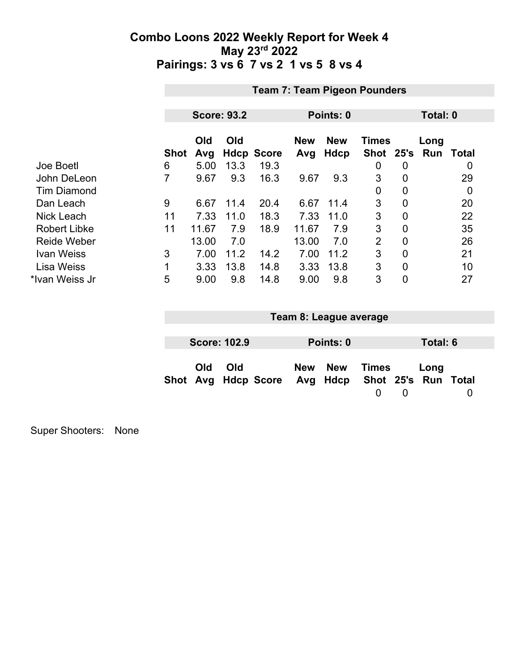|                     | <b>Team 7: Team Pigeon Pounders</b> |                    |      |                   |                   |                    |                           |                |             |          |  |  |
|---------------------|-------------------------------------|--------------------|------|-------------------|-------------------|--------------------|---------------------------|----------------|-------------|----------|--|--|
|                     |                                     |                    |      |                   |                   |                    |                           |                |             |          |  |  |
|                     |                                     | <b>Score: 93.2</b> |      |                   | Points: 0         |                    |                           |                |             | Total: 0 |  |  |
|                     | <b>Shot</b>                         | Old<br>Avg         | Old  | <b>Hdcp Score</b> | <b>New</b><br>Avg | <b>New</b><br>Hdcp | <b>Times</b><br>Shot 25's |                | Long<br>Run | Total    |  |  |
| Joe Boetl           | 6                                   | 5.00               | 13.3 | 19.3              |                   |                    | 0                         | 0              |             | 0        |  |  |
| John DeLeon         | 7                                   | 9.67               | 9.3  | 16.3              | 9.67              | 9.3                | 3                         | 0              |             | 29       |  |  |
| <b>Tim Diamond</b>  |                                     |                    |      |                   |                   |                    | 0                         | 0              |             | 0        |  |  |
| Dan Leach           | 9                                   | 6.67               | 11.4 | 20.4              | 6.67              | 11.4               | 3                         | 0              |             | 20       |  |  |
| <b>Nick Leach</b>   | 11                                  | 7.33               | 11.0 | 18.3              | 7.33              | 11.0               | 3                         | $\overline{0}$ |             | 22       |  |  |
| <b>Robert Libke</b> | 11                                  | 11.67              | 7.9  | 18.9              | 11.67             | 7.9                | 3                         | $\Omega$       |             | 35       |  |  |
| <b>Reide Weber</b>  |                                     | 13.00              | 7.0  |                   | 13.00             | 7.0                | $\overline{2}$            | 0              |             | 26       |  |  |
| <b>Ivan Weiss</b>   | 3                                   | 7.00               | 11.2 | 14.2              | 7.00              | 11.2               | 3                         | 0              |             | 21       |  |  |
| <b>Lisa Weiss</b>   | 1                                   | 3.33               | 13.8 | 14.8              | 3.33              | 13.8               | 3                         | $\mathbf 0$    |             | 10       |  |  |
| *Ivan Weiss Jr      | 5                                   | 9.00               | 9.8  | 14.8              | 9.00              | 9.8                | 3                         | 0              |             | 27       |  |  |

| Team 8: League average |                     |                                                  |  |           |       |  |          |  |
|------------------------|---------------------|--------------------------------------------------|--|-----------|-------|--|----------|--|
|                        |                     |                                                  |  |           |       |  |          |  |
|                        | <b>Score: 102.9</b> |                                                  |  | Points: 0 |       |  | Total: 6 |  |
| Old                    | Old                 | Shot Avg Hdcp Score Avg Hdcp Shot 25's Run Total |  | New New   | Times |  | Long     |  |

Super Shooters: None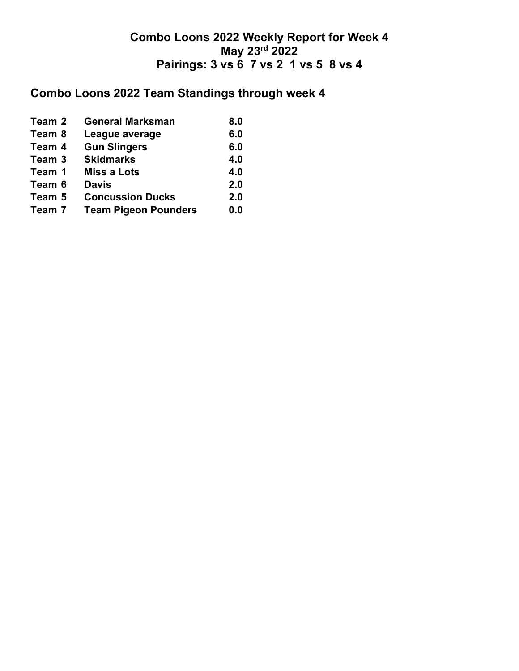# **Combo Loons 2022 Team Standings through week 4**

| Team 2 | <b>General Marksman</b>     | 8.0 |
|--------|-----------------------------|-----|
| Team 8 | League average              | 6.0 |
| Team 4 | <b>Gun Slingers</b>         | 6.0 |
| Team 3 | <b>Skidmarks</b>            | 4.0 |
| Team 1 | <b>Miss a Lots</b>          | 4.0 |
| Team 6 | <b>Davis</b>                | 2.0 |
| Team 5 | <b>Concussion Ducks</b>     | 2.0 |
| Team 7 | <b>Team Pigeon Pounders</b> | 0.0 |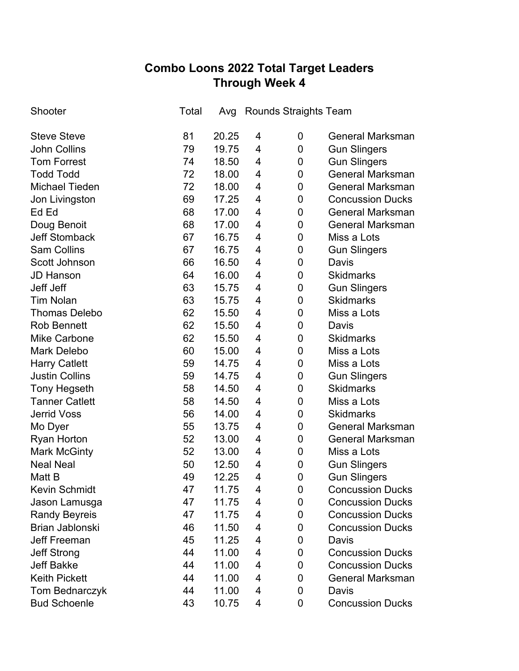## **Combo Loons 2022 Total Target Leaders Through Week 4**

| Shooter               | Total | Avg   | Rounds Straights Team |             |                         |
|-----------------------|-------|-------|-----------------------|-------------|-------------------------|
| <b>Steve Steve</b>    | 81    | 20.25 | 4                     | 0           | <b>General Marksman</b> |
| <b>John Collins</b>   | 79    | 19.75 | 4                     | 0           | <b>Gun Slingers</b>     |
| <b>Tom Forrest</b>    | 74    | 18.50 | 4                     | 0           | <b>Gun Slingers</b>     |
| <b>Todd Todd</b>      | 72    | 18.00 | 4                     | 0           | <b>General Marksman</b> |
| <b>Michael Tieden</b> | 72    | 18.00 | 4                     | 0           | <b>General Marksman</b> |
| Jon Livingston        | 69    | 17.25 | 4                     | 0           | <b>Concussion Ducks</b> |
| Ed Ed                 | 68    | 17.00 | 4                     | 0           | <b>General Marksman</b> |
| Doug Benoit           | 68    | 17.00 | 4                     | 0           | <b>General Marksman</b> |
| <b>Jeff Stomback</b>  | 67    | 16.75 | 4                     | 0           | Miss a Lots             |
| <b>Sam Collins</b>    | 67    | 16.75 | 4                     | 0           | <b>Gun Slingers</b>     |
| Scott Johnson         | 66    | 16.50 | 4                     | 0           | Davis                   |
| <b>JD Hanson</b>      | 64    | 16.00 | 4                     | 0           | <b>Skidmarks</b>        |
| Jeff Jeff             | 63    | 15.75 | 4                     | 0           | <b>Gun Slingers</b>     |
| <b>Tim Nolan</b>      | 63    | 15.75 | 4                     | 0           | <b>Skidmarks</b>        |
| <b>Thomas Delebo</b>  | 62    | 15.50 | 4                     | 0           | Miss a Lots             |
| <b>Rob Bennett</b>    | 62    | 15.50 | 4                     | $\mathbf 0$ | Davis                   |
| <b>Mike Carbone</b>   | 62    | 15.50 | 4                     | 0           | <b>Skidmarks</b>        |
| <b>Mark Delebo</b>    | 60    | 15.00 | 4                     | 0           | Miss a Lots             |
| <b>Harry Catlett</b>  | 59    | 14.75 | 4                     | 0           | Miss a Lots             |
| <b>Justin Collins</b> | 59    | 14.75 | 4                     | $\mathbf 0$ | <b>Gun Slingers</b>     |
| <b>Tony Hegseth</b>   | 58    | 14.50 | 4                     | 0           | <b>Skidmarks</b>        |
| <b>Tanner Catlett</b> | 58    | 14.50 | 4                     | $\mathbf 0$ | Miss a Lots             |
| <b>Jerrid Voss</b>    | 56    | 14.00 | 4                     | 0           | <b>Skidmarks</b>        |
| Mo Dyer               | 55    | 13.75 | 4                     | $\mathbf 0$ | <b>General Marksman</b> |
| <b>Ryan Horton</b>    | 52    | 13.00 | 4                     | 0           | <b>General Marksman</b> |
| <b>Mark McGinty</b>   | 52    | 13.00 | 4                     | $\mathbf 0$ | Miss a Lots             |
| <b>Neal Neal</b>      | 50    | 12.50 | 4                     | 0           | <b>Gun Slingers</b>     |
| Matt B                | 49    | 12.25 | 4                     | $\mathbf 0$ | <b>Gun Slingers</b>     |
| <b>Kevin Schmidt</b>  | 47    | 11.75 | 4                     | 0           | <b>Concussion Ducks</b> |
| Jason Lamusga         | 47    | 11.75 | 4                     | 0           | <b>Concussion Ducks</b> |
| <b>Randy Beyreis</b>  | 47    | 11.75 | 4                     | 0           | <b>Concussion Ducks</b> |
| Brian Jablonski       | 46    | 11.50 | 4                     | 0           | <b>Concussion Ducks</b> |
| <b>Jeff Freeman</b>   | 45    | 11.25 | 4                     | 0           | Davis                   |
| <b>Jeff Strong</b>    | 44    | 11.00 | 4                     | 0           | <b>Concussion Ducks</b> |
| <b>Jeff Bakke</b>     | 44    | 11.00 | 4                     | 0           | <b>Concussion Ducks</b> |
| <b>Keith Pickett</b>  | 44    | 11.00 | 4                     | 0           | <b>General Marksman</b> |
| Tom Bednarczyk        | 44    | 11.00 | 4                     | 0           | Davis                   |
| <b>Bud Schoenle</b>   | 43    | 10.75 | 4                     | 0           | <b>Concussion Ducks</b> |